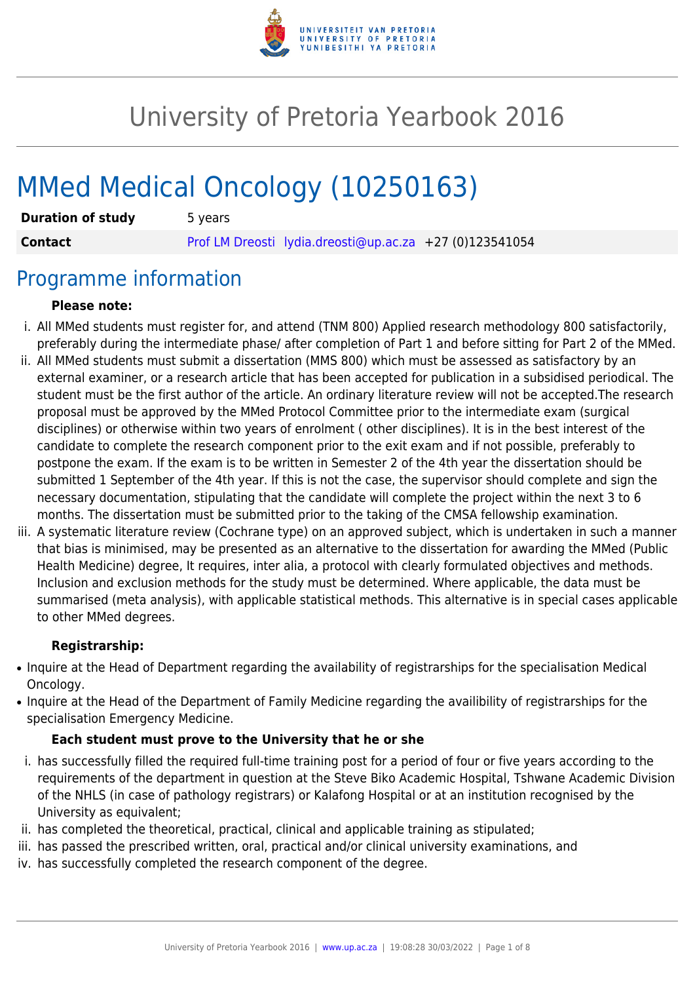

# University of Pretoria Yearbook 2016

# MMed Medical Oncology (10250163)

| <b>Duration of study</b> | 5 years |                                                         |  |
|--------------------------|---------|---------------------------------------------------------|--|
| <b>Contact</b>           |         | Prof LM Dreosti lydia.dreosti@up.ac.za +27 (0)123541054 |  |

## Programme information

#### **Please note:**

- i. All MMed students must register for, and attend (TNM 800) Applied research methodology 800 satisfactorily, preferably during the intermediate phase/ after completion of Part 1 and before sitting for Part 2 of the MMed.
- ii. All MMed students must submit a dissertation (MMS 800) which must be assessed as satisfactory by an external examiner, or a research article that has been accepted for publication in a subsidised periodical. The student must be the first author of the article. An ordinary literature review will not be accepted.The research proposal must be approved by the MMed Protocol Committee prior to the intermediate exam (surgical disciplines) or otherwise within two years of enrolment ( other disciplines). It is in the best interest of the candidate to complete the research component prior to the exit exam and if not possible, preferably to postpone the exam. If the exam is to be written in Semester 2 of the 4th year the dissertation should be submitted 1 September of the 4th year. If this is not the case, the supervisor should complete and sign the necessary documentation, stipulating that the candidate will complete the project within the next 3 to 6 months. The dissertation must be submitted prior to the taking of the CMSA fellowship examination.
- iii. A systematic literature review (Cochrane type) on an approved subject, which is undertaken in such a manner that bias is minimised, may be presented as an alternative to the dissertation for awarding the MMed (Public Health Medicine) degree, It requires, inter alia, a protocol with clearly formulated objectives and methods. Inclusion and exclusion methods for the study must be determined. Where applicable, the data must be summarised (meta analysis), with applicable statistical methods. This alternative is in special cases applicable to other MMed degrees.

#### **Registrarship:**

- Inquire at the Head of Department regarding the availability of registrarships for the specialisation Medical Oncology.
- Inquire at the Head of the Department of Family Medicine regarding the availibility of registrarships for the specialisation Emergency Medicine.

#### **Each student must prove to the University that he or she**

- i. has successfully filled the required full-time training post for a period of four or five years according to the requirements of the department in question at the Steve Biko Academic Hospital, Tshwane Academic Division of the NHLS (in case of pathology registrars) or Kalafong Hospital or at an institution recognised by the University as equivalent;
- ii. has completed the theoretical, practical, clinical and applicable training as stipulated;
- iii. has passed the prescribed written, oral, practical and/or clinical university examinations, and
- iv. has successfully completed the research component of the degree.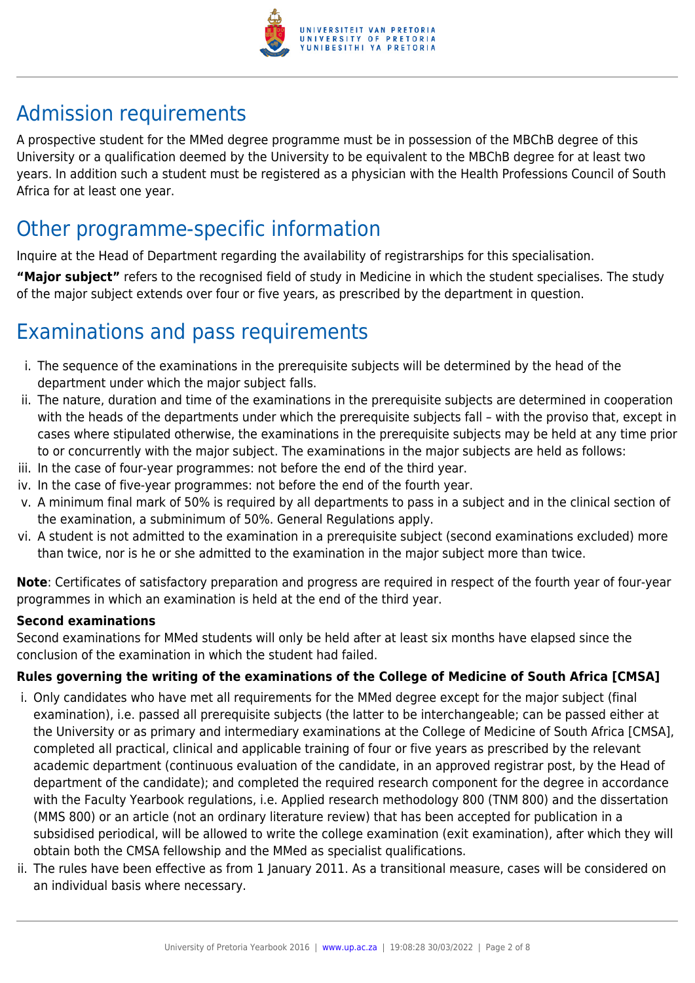

## Admission requirements

A prospective student for the MMed degree programme must be in possession of the MBChB degree of this University or a qualification deemed by the University to be equivalent to the MBChB degree for at least two years. In addition such a student must be registered as a physician with the Health Professions Council of South Africa for at least one year.

## Other programme-specific information

Inquire at the Head of Department regarding the availability of registrarships for this specialisation.

**"Major subject"** refers to the recognised field of study in Medicine in which the student specialises. The study of the major subject extends over four or five years, as prescribed by the department in question.

## Examinations and pass requirements

- i. The sequence of the examinations in the prerequisite subjects will be determined by the head of the department under which the major subject falls.
- ii. The nature, duration and time of the examinations in the prerequisite subjects are determined in cooperation with the heads of the departments under which the prerequisite subjects fall – with the proviso that, except in cases where stipulated otherwise, the examinations in the prerequisite subjects may be held at any time prior to or concurrently with the major subject. The examinations in the major subjects are held as follows:
- iii. In the case of four-year programmes: not before the end of the third year.
- iv. In the case of five-year programmes: not before the end of the fourth year.
- v. A minimum final mark of 50% is required by all departments to pass in a subject and in the clinical section of the examination, a subminimum of 50%. General Regulations apply.
- vi. A student is not admitted to the examination in a prerequisite subject (second examinations excluded) more than twice, nor is he or she admitted to the examination in the major subject more than twice.

**Note**: Certificates of satisfactory preparation and progress are required in respect of the fourth year of four-year programmes in which an examination is held at the end of the third year.

#### **Second examinations**

Second examinations for MMed students will only be held after at least six months have elapsed since the conclusion of the examination in which the student had failed.

### **Rules governing the writing of the examinations of the College of Medicine of South Africa [CMSA]**

- i. Only candidates who have met all requirements for the MMed degree except for the major subject (final examination), i.e. passed all prerequisite subjects (the latter to be interchangeable; can be passed either at the University or as primary and intermediary examinations at the College of Medicine of South Africa [CMSA], completed all practical, clinical and applicable training of four or five years as prescribed by the relevant academic department (continuous evaluation of the candidate, in an approved registrar post, by the Head of department of the candidate); and completed the required research component for the degree in accordance with the Faculty Yearbook regulations, i.e. Applied research methodology 800 (TNM 800) and the dissertation (MMS 800) or an article (not an ordinary literature review) that has been accepted for publication in a subsidised periodical, will be allowed to write the college examination (exit examination), after which they will obtain both the CMSA fellowship and the MMed as specialist qualifications.
- ii. The rules have been effective as from 1 January 2011. As a transitional measure, cases will be considered on an individual basis where necessary.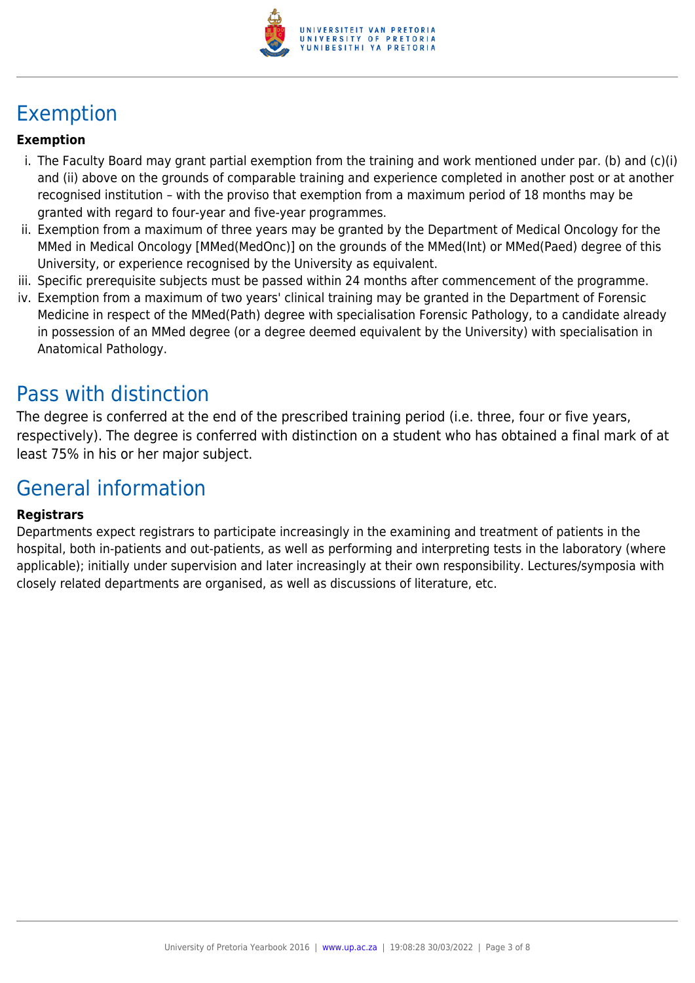

## Exemption

### **Exemption**

- i. The Faculty Board may grant partial exemption from the training and work mentioned under par. (b) and (c)(i) and (ii) above on the grounds of comparable training and experience completed in another post or at another recognised institution – with the proviso that exemption from a maximum period of 18 months may be granted with regard to four-year and five-year programmes.
- ii. Exemption from a maximum of three years may be granted by the Department of Medical Oncology for the MMed in Medical Oncology [MMed(MedOnc)] on the grounds of the MMed(Int) or MMed(Paed) degree of this University, or experience recognised by the University as equivalent.
- iii. Specific prerequisite subjects must be passed within 24 months after commencement of the programme.
- iv. Exemption from a maximum of two years' clinical training may be granted in the Department of Forensic Medicine in respect of the MMed(Path) degree with specialisation Forensic Pathology, to a candidate already in possession of an MMed degree (or a degree deemed equivalent by the University) with specialisation in Anatomical Pathology.

## Pass with distinction

The degree is conferred at the end of the prescribed training period (i.e. three, four or five years, respectively). The degree is conferred with distinction on a student who has obtained a final mark of at least 75% in his or her major subject.

## General information

#### **Registrars**

Departments expect registrars to participate increasingly in the examining and treatment of patients in the hospital, both in-patients and out-patients, as well as performing and interpreting tests in the laboratory (where applicable); initially under supervision and later increasingly at their own responsibility. Lectures/symposia with closely related departments are organised, as well as discussions of literature, etc.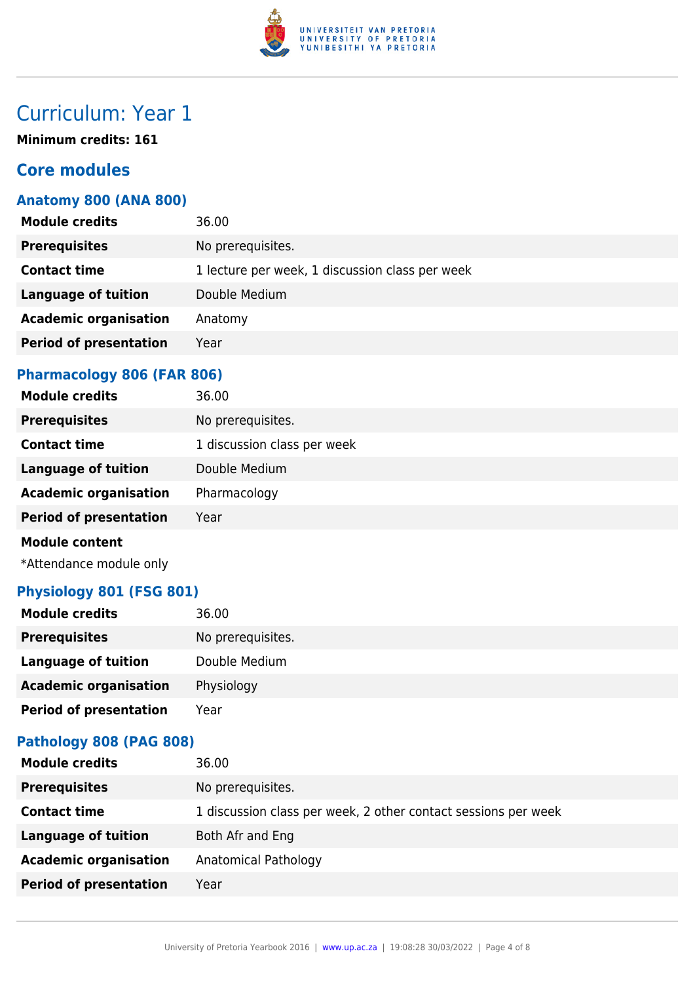

**Minimum credits: 161**

## **Core modules**

### **Anatomy 800 (ANA 800)**

| <b>Module credits</b>         | 36.00                                           |
|-------------------------------|-------------------------------------------------|
| <b>Prerequisites</b>          | No prerequisites.                               |
| <b>Contact time</b>           | 1 lecture per week, 1 discussion class per week |
| <b>Language of tuition</b>    | Double Medium                                   |
| <b>Academic organisation</b>  | Anatomy                                         |
| <b>Period of presentation</b> | Year                                            |
|                               |                                                 |

### **Pharmacology 806 (FAR 806)**

| <b>Module credits</b>         | 36.00                       |
|-------------------------------|-----------------------------|
| <b>Prerequisites</b>          | No prerequisites.           |
| <b>Contact time</b>           | 1 discussion class per week |
| <b>Language of tuition</b>    | Double Medium               |
| <b>Academic organisation</b>  | Pharmacology                |
| <b>Period of presentation</b> | Year                        |
| <b>Module content</b>         |                             |

\*Attendance module only

### **Physiology 801 (FSG 801)**

| <b>Module credits</b>         | 36.00             |
|-------------------------------|-------------------|
| <b>Prerequisites</b>          | No prerequisites. |
| Language of tuition           | Double Medium     |
| <b>Academic organisation</b>  | Physiology        |
| <b>Period of presentation</b> | Year              |

## **Pathology 808 (PAG 808)**

| <b>Module credits</b>         | 36.00                                                          |
|-------------------------------|----------------------------------------------------------------|
| <b>Prerequisites</b>          | No prerequisites.                                              |
| <b>Contact time</b>           | 1 discussion class per week, 2 other contact sessions per week |
| <b>Language of tuition</b>    | Both Afr and Eng                                               |
| <b>Academic organisation</b>  | Anatomical Pathology                                           |
| <b>Period of presentation</b> | Year                                                           |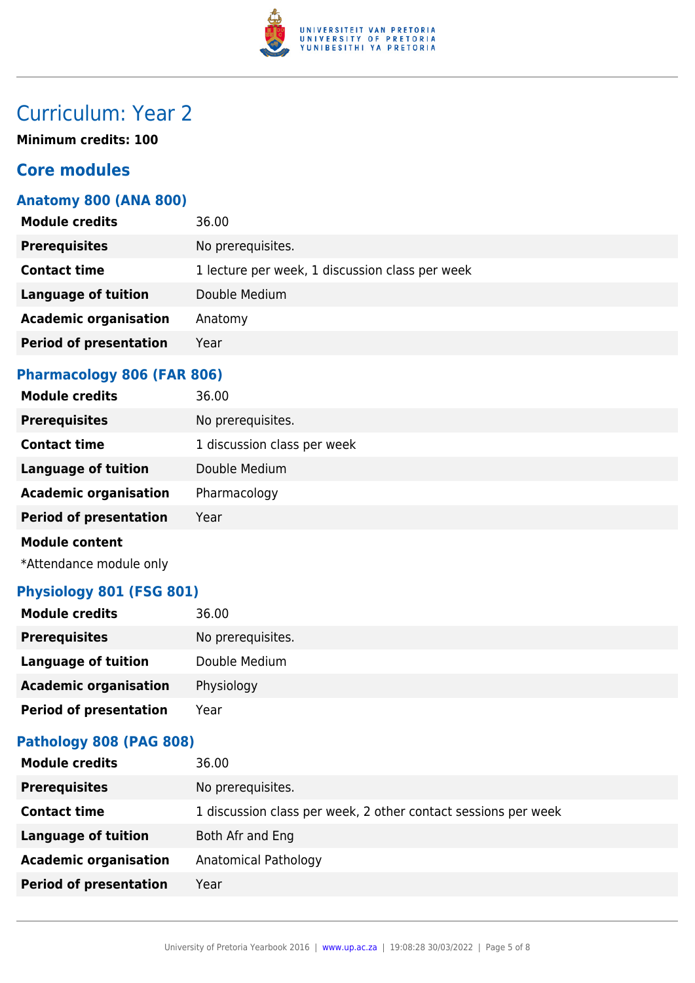

**Minimum credits: 100**

## **Core modules**

### **Anatomy 800 (ANA 800)**

| <b>Module credits</b>         | 36.00                                           |
|-------------------------------|-------------------------------------------------|
| <b>Prerequisites</b>          | No prerequisites.                               |
| <b>Contact time</b>           | 1 lecture per week, 1 discussion class per week |
| <b>Language of tuition</b>    | Double Medium                                   |
| <b>Academic organisation</b>  | Anatomy                                         |
| <b>Period of presentation</b> | Year                                            |
|                               |                                                 |

### **Pharmacology 806 (FAR 806)**

| <b>Module credits</b>         | 36.00                       |
|-------------------------------|-----------------------------|
| <b>Prerequisites</b>          | No prerequisites.           |
| <b>Contact time</b>           | 1 discussion class per week |
| <b>Language of tuition</b>    | Double Medium               |
| <b>Academic organisation</b>  | Pharmacology                |
| <b>Period of presentation</b> | Year                        |
| <b>Module content</b>         |                             |

\*Attendance module only

### **Physiology 801 (FSG 801)**

| <b>Module credits</b>         | 36.00             |
|-------------------------------|-------------------|
| <b>Prerequisites</b>          | No prerequisites. |
| Language of tuition           | Double Medium     |
| <b>Academic organisation</b>  | Physiology        |
| <b>Period of presentation</b> | Year              |

## **Pathology 808 (PAG 808)**

| <b>Module credits</b>         | 36.00                                                          |
|-------------------------------|----------------------------------------------------------------|
| <b>Prerequisites</b>          | No prerequisites.                                              |
| <b>Contact time</b>           | 1 discussion class per week, 2 other contact sessions per week |
| <b>Language of tuition</b>    | Both Afr and Eng                                               |
| <b>Academic organisation</b>  | Anatomical Pathology                                           |
| <b>Period of presentation</b> | Year                                                           |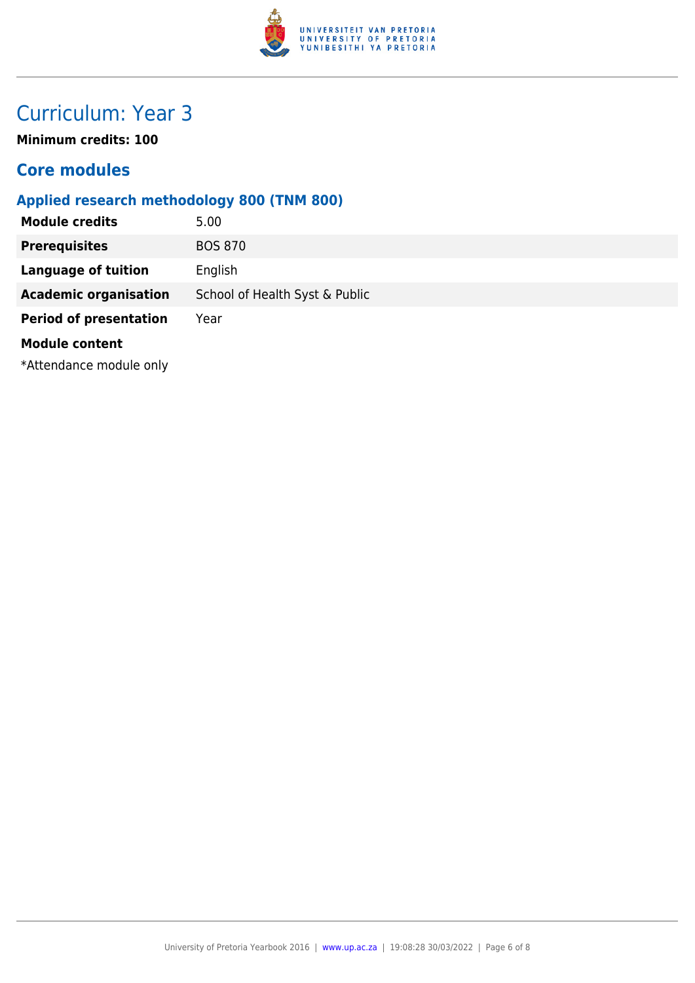

**Minimum credits: 100**

## **Core modules**

## **Applied research methodology 800 (TNM 800)**

| <b>Module credits</b>         | 5.00                           |
|-------------------------------|--------------------------------|
| <b>Prerequisites</b>          | <b>BOS 870</b>                 |
| <b>Language of tuition</b>    | English                        |
| <b>Academic organisation</b>  | School of Health Syst & Public |
| <b>Period of presentation</b> | Year                           |
| <b>Module content</b>         |                                |
| *Attendance module only       |                                |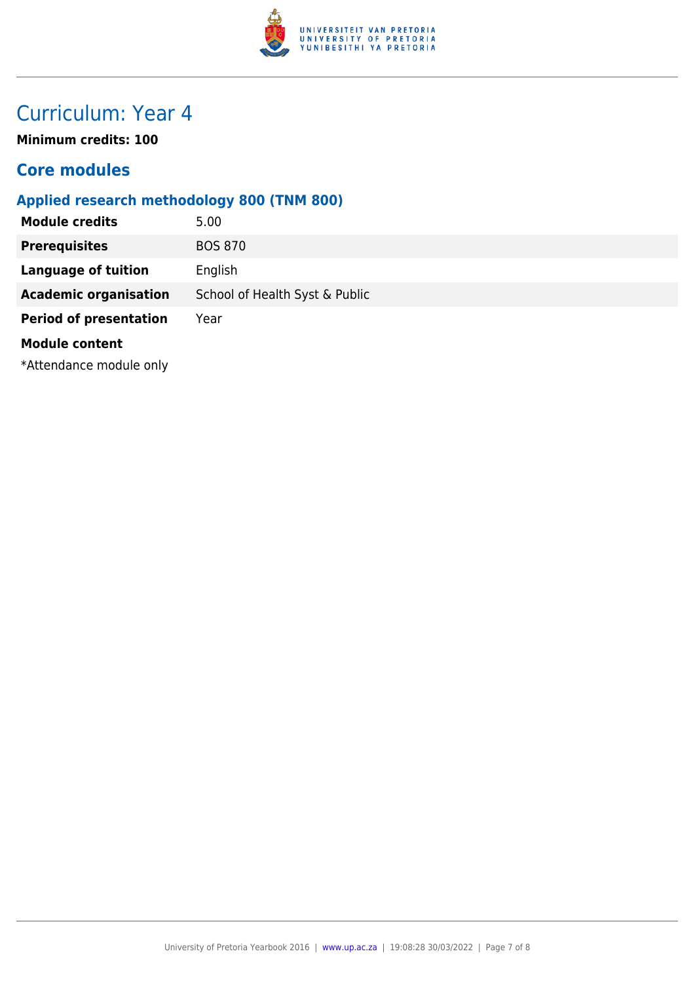

**Minimum credits: 100**

## **Core modules**

## **Applied research methodology 800 (TNM 800)**

| <b>Module credits</b>         | 5.00                           |
|-------------------------------|--------------------------------|
| <b>Prerequisites</b>          | <b>BOS 870</b>                 |
| <b>Language of tuition</b>    | English                        |
| <b>Academic organisation</b>  | School of Health Syst & Public |
| <b>Period of presentation</b> | Year                           |
| <b>Module content</b>         |                                |
| *Attendance module only       |                                |